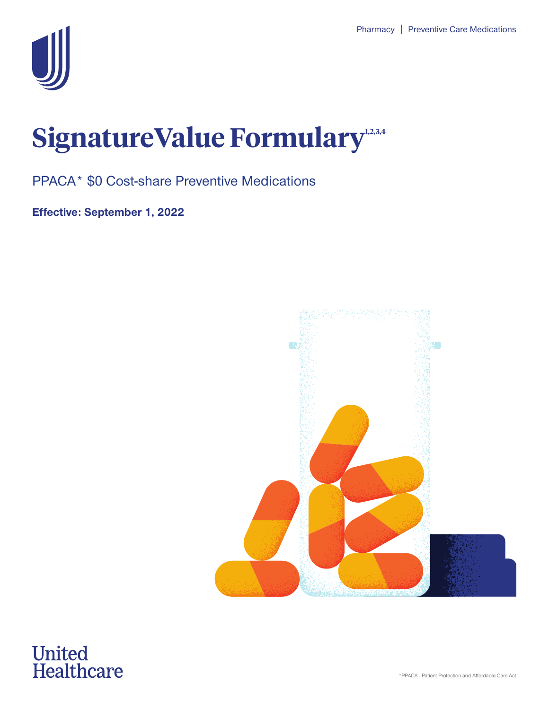

## SignatureValue Formulary<sup>1,2,3,4</sup>

PPACA\* \$0 Cost-share Preventive Medications

**Effective: September 1, 2022**



# **United<br>Healthcare**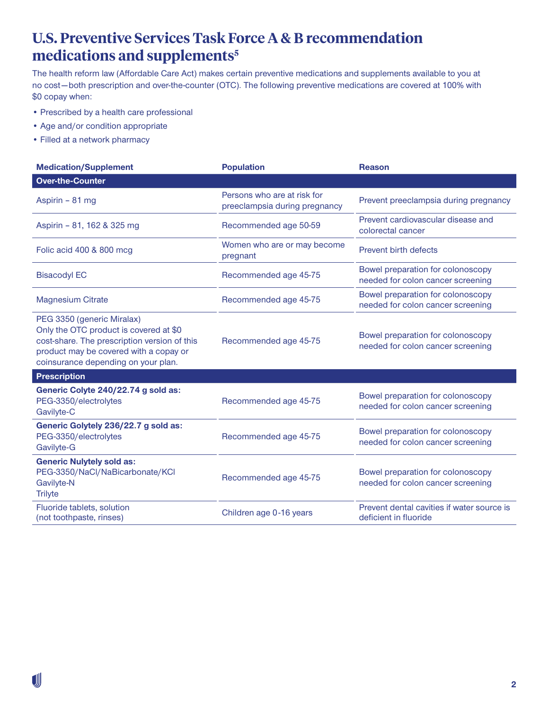#### **U.S. Preventive Services Task Force A & B recommendation medications and supplements5**

The health reform law (Affordable Care Act) makes certain preventive medications and supplements available to you at no cost — both prescription and over-the-counter (OTC). The following preventive medications are covered at 100% with \$0 copay when:

- Prescribed by a health care professional
- Age and/or condition appropriate
- Filled at a network pharmacy

| <b>Medication/Supplement</b>                                                                                                                                                                          | <b>Population</b>                                            | <b>Reason</b>                                                          |
|-------------------------------------------------------------------------------------------------------------------------------------------------------------------------------------------------------|--------------------------------------------------------------|------------------------------------------------------------------------|
| <b>Over-the-Counter</b>                                                                                                                                                                               |                                                              |                                                                        |
| Aspirin - 81 mg                                                                                                                                                                                       | Persons who are at risk for<br>preeclampsia during pregnancy | Prevent preeclampsia during pregnancy                                  |
| Aspirin - 81, 162 & 325 mg                                                                                                                                                                            | Recommended age 50-59                                        | Prevent cardiovascular disease and<br>colorectal cancer                |
| Folic acid 400 & 800 mcg                                                                                                                                                                              | Women who are or may become<br>pregnant                      | Prevent birth defects                                                  |
| <b>Bisacodyl EC</b>                                                                                                                                                                                   | Recommended age 45-75                                        | Bowel preparation for colonoscopy<br>needed for colon cancer screening |
| <b>Magnesium Citrate</b>                                                                                                                                                                              | Recommended age 45-75                                        | Bowel preparation for colonoscopy<br>needed for colon cancer screening |
| PEG 3350 (generic Miralax)<br>Only the OTC product is covered at \$0<br>cost-share. The prescription version of this<br>product may be covered with a copay or<br>coinsurance depending on your plan. | Recommended age 45-75                                        | Bowel preparation for colonoscopy<br>needed for colon cancer screening |
| <b>Prescription</b>                                                                                                                                                                                   |                                                              |                                                                        |
| Generic Colyte 240/22.74 g sold as:<br>PEG-3350/electrolytes<br>Gavilyte-C                                                                                                                            | Recommended age 45-75                                        | Bowel preparation for colonoscopy<br>needed for colon cancer screening |
| Generic Golytely 236/22.7 g sold as:<br>PEG-3350/electrolytes<br>Gavilyte-G                                                                                                                           | Recommended age 45-75                                        | Bowel preparation for colonoscopy<br>needed for colon cancer screening |
| <b>Generic Nulytely sold as:</b><br>PEG-3350/NaCl/NaBicarbonate/KCl<br>Gavilyte-N<br><b>Trilyte</b>                                                                                                   | Recommended age 45-75                                        | Bowel preparation for colonoscopy<br>needed for colon cancer screening |
| Fluoride tablets, solution<br>(not toothpaste, rinses)                                                                                                                                                | Children age 0-16 years                                      | Prevent dental cavities if water source is<br>deficient in fluoride    |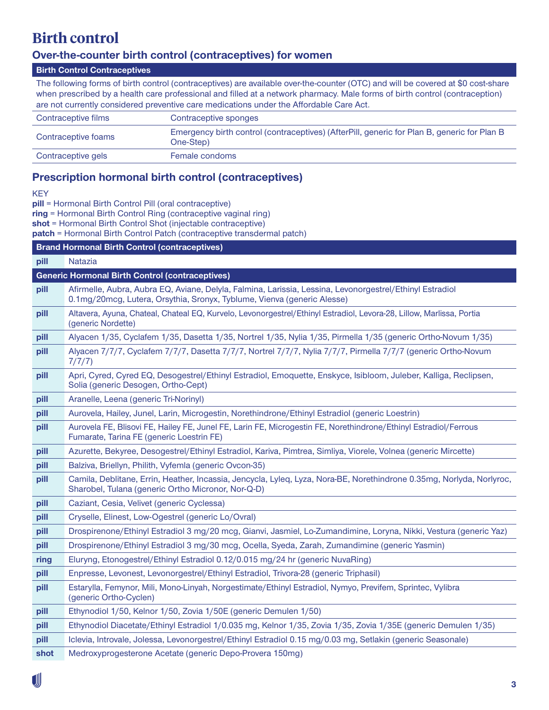#### **Birth control**

#### **Over-the-counter birth control (contraceptives) for women**

#### **Birth Control Contraceptives**

The following forms of birth control (contraceptives) are available over-the-counter (OTC) and will be covered at \$0 cost-share when prescribed by a health care professional and filled at a network pharmacy. Male forms of birth control (contraception) are not currently considered preventive care medications under the Affordable Care Act.

| Contraceptive films | Contraceptive sponges                                                                                    |
|---------------------|----------------------------------------------------------------------------------------------------------|
| Contraceptive foams | Emergency birth control (contraceptives) (AfterPill, generic for Plan B, generic for Plan B<br>One-Step) |
| Contraceptive gels  | Female condoms                                                                                           |

#### **Prescription hormonal birth control (contraceptives)**

KEY

**pill** = Hormonal Birth Control Pill (oral contraceptive)

**ring** = Hormonal Birth Control Ring (contraceptive vaginal ring)

**shot** = Hormonal Birth Control Shot (injectable contraceptive)

**patch** = Hormonal Birth Control Patch (contraceptive transdermal patch)

|                                                        | <b>Brand Hormonal Birth Control (contraceptives)</b>                                                                                                                                |  |
|--------------------------------------------------------|-------------------------------------------------------------------------------------------------------------------------------------------------------------------------------------|--|
| pill                                                   | Natazia                                                                                                                                                                             |  |
| <b>Generic Hormonal Birth Control (contraceptives)</b> |                                                                                                                                                                                     |  |
| pill                                                   | Afirmelle, Aubra, Aubra EQ, Aviane, Delyla, Falmina, Larissia, Lessina, Levonorgestrel/Ethinyl Estradiol<br>0.1mg/20mcg, Lutera, Orsythia, Sronyx, Tyblume, Vienva (generic Alesse) |  |
| pill                                                   | Altavera, Ayuna, Chateal, Chateal EQ, Kurvelo, Levonorgestrel/Ethinyl Estradiol, Levora-28, Lillow, Marlissa, Portia<br>(generic Nordette)                                          |  |
| pill                                                   | Alyacen 1/35, Cyclafem 1/35, Dasetta 1/35, Nortrel 1/35, Nylia 1/35, Pirmella 1/35 (generic Ortho-Novum 1/35)                                                                       |  |
| pill                                                   | Alyacen 7/7/7, Cyclafem 7/7/7, Dasetta 7/7/7, Nortrel 7/7/7, Nylia 7/7/7, Pirmella 7/7/7 (generic Ortho-Novum<br>7/7/7)                                                             |  |
| pill                                                   | Apri, Cyred, Cyred EQ, Desogestrel/Ethinyl Estradiol, Emoquette, Enskyce, Isibloom, Juleber, Kalliga, Reclipsen,<br>Solia (generic Desogen, Ortho-Cept)                             |  |
| pill                                                   | Aranelle, Leena (generic Tri-Norinyl)                                                                                                                                               |  |
| pill                                                   | Aurovela, Hailey, Junel, Larin, Microgestin, Norethindrone/Ethinyl Estradiol (generic Loestrin)                                                                                     |  |
| pill                                                   | Aurovela FE, Blisovi FE, Hailey FE, Junel FE, Larin FE, Microgestin FE, Norethindrone/Ethinyl Estradiol/Ferrous<br>Fumarate, Tarina FE (generic Loestrin FE)                        |  |
| pill                                                   | Azurette, Bekyree, Desogestrel/Ethinyl Estradiol, Kariva, Pimtrea, Simliya, Viorele, Volnea (generic Mircette)                                                                      |  |
| pill                                                   | Balziva, Briellyn, Philith, Vyfemla (generic Ovcon-35)                                                                                                                              |  |
| pill                                                   | Camila, Deblitane, Errin, Heather, Incassia, Jencycla, Lyleq, Lyza, Nora-BE, Norethindrone 0.35mg, Norlyda, Norlyroc,<br>Sharobel, Tulana (generic Ortho Micronor, Nor-Q-D)         |  |
| pill                                                   | Caziant, Cesia, Velivet (generic Cyclessa)                                                                                                                                          |  |
| pill                                                   | Cryselle, Elinest, Low-Ogestrel (generic Lo/Ovral)                                                                                                                                  |  |
| pill                                                   | Drospirenone/Ethinyl Estradiol 3 mg/20 mcg, Gianvi, Jasmiel, Lo-Zumandimine, Loryna, Nikki, Vestura (generic Yaz)                                                                   |  |
| pill                                                   | Drospirenone/Ethinyl Estradiol 3 mg/30 mcg, Ocella, Syeda, Zarah, Zumandimine (generic Yasmin)                                                                                      |  |
| ring                                                   | Eluryng, Etonogestrel/Ethinyl Estradiol 0.12/0.015 mg/24 hr (generic NuvaRing)                                                                                                      |  |
| pill                                                   | Enpresse, Levonest, Levonorgestrel/Ethinyl Estradiol, Trivora-28 (generic Triphasil)                                                                                                |  |
| pill                                                   | Estarylla, Femynor, Mili, Mono-Linyah, Norgestimate/Ethinyl Estradiol, Nymyo, Previfem, Sprintec, Vylibra<br>(generic Ortho-Cyclen)                                                 |  |
| pill                                                   | Ethynodiol 1/50, Kelnor 1/50, Zovia 1/50E (generic Demulen 1/50)                                                                                                                    |  |
| pill                                                   | Ethynodiol Diacetate/Ethinyl Estradiol 1/0.035 mg, Kelnor 1/35, Zovia 1/35, Zovia 1/35E (generic Demulen 1/35)                                                                      |  |
| pill                                                   | Iclevia, Introvale, Jolessa, Levonorgestrel/Ethinyl Estradiol 0.15 mg/0.03 mg, Setlakin (generic Seasonale)                                                                         |  |
| shot                                                   | Medroxyprogesterone Acetate (generic Depo-Provera 150mg)                                                                                                                            |  |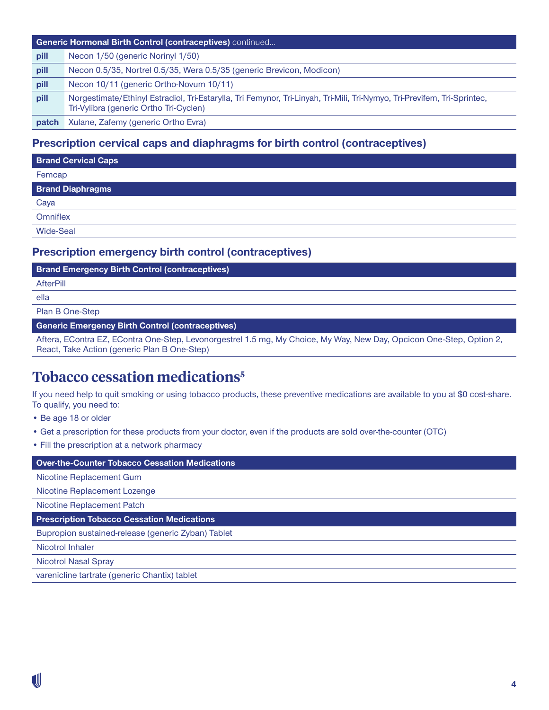| <b>Generic Hormonal Birth Control (contraceptives)</b> continued |                                                                                                                                                                    |  |
|------------------------------------------------------------------|--------------------------------------------------------------------------------------------------------------------------------------------------------------------|--|
| pill                                                             | Necon 1/50 (generic Norinyl 1/50)                                                                                                                                  |  |
| pill                                                             | Necon 0.5/35, Nortrel 0.5/35, Wera 0.5/35 (generic Brevicon, Modicon)                                                                                              |  |
| pill                                                             | Necon 10/11 (generic Ortho-Novum 10/11)                                                                                                                            |  |
| pill                                                             | Norgestimate/Ethinyl Estradiol, Tri-Estarylla, Tri Femynor, Tri-Linyah, Tri-Mili, Tri-Nymyo, Tri-Previfem, Tri-Sprintec,<br>Tri-Vylibra (generic Ortho Tri-Cyclen) |  |
| patch                                                            | Xulane, Zafemy (generic Ortho Evra)                                                                                                                                |  |

#### **Prescription cervical caps and diaphragms for birth control (contraceptives)**

| <b>Brand Cervical Caps</b> |
|----------------------------|
| Femcap                     |
| <b>Brand Diaphragms</b>    |
| Caya                       |
| Omniflex                   |
| <b>Wide-Seal</b>           |
|                            |

#### **Prescription emergency birth control (contraceptives)**

#### **AfterPill**

ella

#### Plan B One-Step

**Generic Emergency Birth Control (contraceptives)**

Aftera, EContra EZ, EContra One-Step, Levonorgestrel 1.5 mg, My Choice, My Way, New Day, Opcicon One-Step, Option 2, React, Take Action (generic Plan B One-Step)

#### **Tobacco cessation medications5**

If you need help to quit smoking or using tobacco products, these preventive medications are available to you at \$0 cost-share. To qualify, you need to:

- Be age 18 or older
- Get a prescription for these products from your doctor, even if the products are sold over-the-counter (OTC)
- Fill the prescription at a network pharmacy

**Over-the-Counter Tobacco Cessation Medications** 

Nicotine Replacement Gum

Nicotine Replacement Lozenge

Nicotine Replacement Patch

**Prescription Tobacco Cessation Medications** 

Bupropion sustained-release (generic Zyban) Tablet

Nicotrol Inhaler

Nicotrol Nasal Spray

varenicline tartrate (generic Chantix) tablet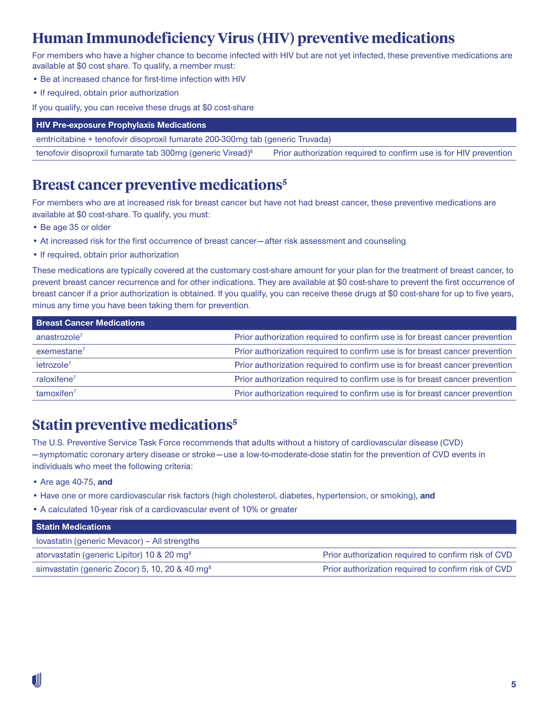### **Human Immunodeficiency Virus (HIV) preventive medications**

For members who have a higher chance to become infected with HIV but are not yet infected, these preventive medications are available at \$0 cost share. To qualify, a member must:

- Be at increased chance for first-time infection with HIV
- If required, obtain prior authorization

If you qualify, you can receive these drugs at \$0 cost-share

| emtricitabine + tenofovir disoproxil fumarate 200-300mq tab (generic Truvada) |  |  |
|-------------------------------------------------------------------------------|--|--|
| Prior authorization required to confirm use is for HIV prevention             |  |  |
|                                                                               |  |  |

#### **Breast cancer preventive medications5**

For members who are at increased risk for breast cancer but have not had breast cancer, these preventive medications are available at \$0 cost-share. To qualify, you must:

- Be age 35 or older
- At increased risk for the first occurrence of breast cancer after risk assessment and counseling
- If required, obtain prior authorization

These medications are typically covered at the customary cost-share amount for your plan for the treatment of breast cancer, to prevent breast cancer recurrence and for other indications. They are available at \$0 cost-share to prevent the first occurrence of breast cancer if a prior authorization is obtained. If you qualify, you can receive these drugs at \$0 cost-share for up to five years, minus any time you have been taking them for prevention.

| <b>Breast Cancer Medications</b> |                                                                             |
|----------------------------------|-----------------------------------------------------------------------------|
| anastrozole $7$                  | Prior authorization required to confirm use is for breast cancer prevention |
| exemestane <sup>7</sup>          | Prior authorization required to confirm use is for breast cancer prevention |
| letrozole <sup>7</sup>           | Prior authorization required to confirm use is for breast cancer prevention |
| raloxifene $7$                   | Prior authorization required to confirm use is for breast cancer prevention |
| tamoxifen <sup>7</sup>           | Prior authorization required to confirm use is for breast cancer prevention |

#### **Statin preventive medications5**

The U.S. Preventive Service Task Force recommends that adults without a history of cardiovascular disease (CVD) — symptomatic coronary artery disease or stroke — use a low-to-moderate-dose statin for the prevention of CVD events in individuals who meet the following criteria:

- Are age 40-75, **and**
- Have one or more cardiovascular risk factors (high cholesterol, diabetes, hypertension, or smoking), **and**
- A calculated 10-year risk of a cardiovascular event of 10% or greater

| <b>Statin Medications</b>                                  |                                                     |
|------------------------------------------------------------|-----------------------------------------------------|
| Iovastatin (generic Mevacor) - All strengths               |                                                     |
| atorvastatin (generic Lipitor) 10 & 20 mg <sup>8</sup>     | Prior authorization required to confirm risk of CVD |
| simvastatin (generic Zocor) 5, 10, 20 & 40 mg <sup>8</sup> | Prior authorization required to confirm risk of CVD |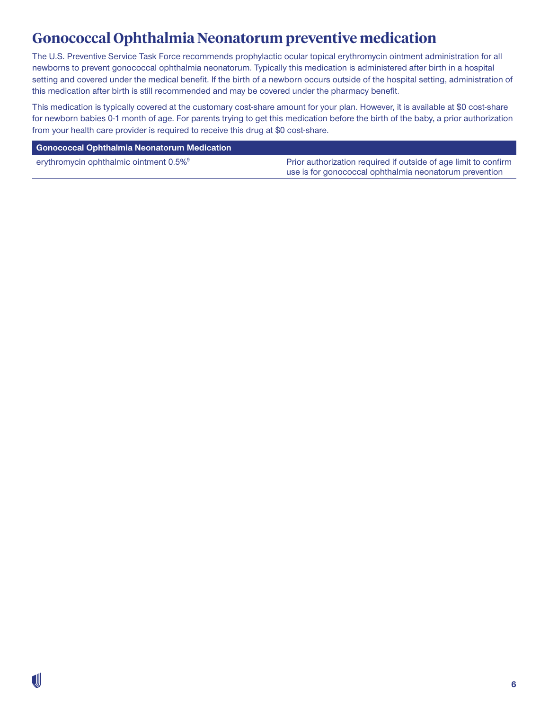#### **Gonococcal Ophthalmia Neonatorum preventive medication**

The U.S. Preventive Service Task Force recommends prophylactic ocular topical erythromycin ointment administration for all newborns to prevent gonococcal ophthalmia neonatorum. Typically this medication is administered after birth in a hospital setting and covered under the medical benefit. If the birth of a newborn occurs outside of the hospital setting, administration of this medication after birth is still recommended and may be covered under the pharmacy benefit.

This medication is typically covered at the customary cost-share amount for your plan. However, it is available at \$0 cost-share for newborn babies 0-1 month of age. For parents trying to get this medication before the birth of the baby, a prior authorization from your health care provider is required to receive this drug at \$0 cost-share.

#### **Gonococcal Ophthalmia Neonatorum Medication**

erythromycin ophthalmic ointment 0.5%<sup>9</sup> Prior authorization required if outside of age limit to confirm use is for gonococcal ophthalmia neonatorum prevention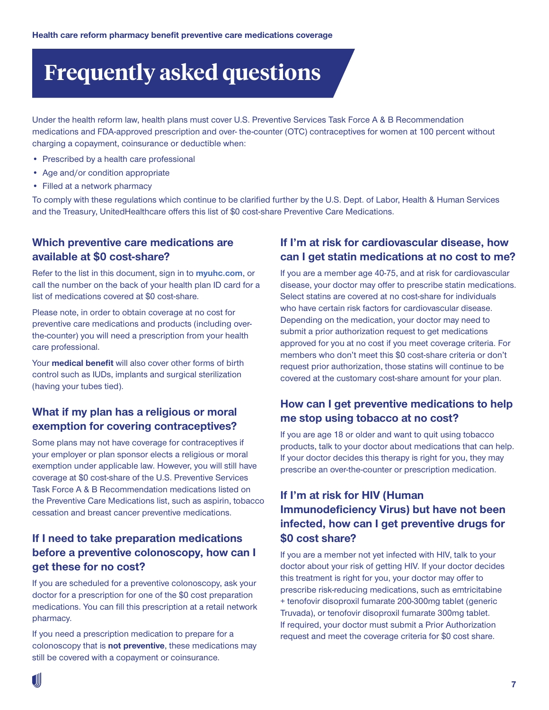### **Frequently asked questions**

Under the health reform law, health plans must cover U.S. Preventive Services Task Force A & B Recommendation medications and FDA-approved prescription and over- the-counter (OTC) contraceptives for women at 100 percent without charging a copayment, coinsurance or deductible when:

- Prescribed by a health care professional
- Age and/or condition appropriate
- Filled at a network pharmacy

To comply with these regulations which continue to be clarified further by the U.S. Dept. of Labor, Health & Human Services and the Treasury, UnitedHealthcare offers this list of \$0 cost-share Preventive Care Medications.

#### **Which preventive care medications are available at \$0 cost-share?**

Refer to the list in this document, sign in to **[myuhc.com](http://myuhc.com)**, or call the number on the back of your health plan ID card for a list of medications covered at \$0 cost-share.

Please note, in order to obtain coverage at no cost for preventive care medications and products (including overthe-counter) you will need a prescription from your health care professional.

Your **medical benefit** will also cover other forms of birth control such as IUDs, implants and surgical sterilization (having your tubes tied).

#### **What if my plan has a religious or moral exemption for covering contraceptives?**

Some plans may not have coverage for contraceptives if your employer or plan sponsor elects a religious or moral exemption under applicable law. However, you will still have coverage at \$0 cost-share of the U.S. Preventive Services Task Force A & B Recommendation medications listed on the Preventive Care Medications list, such as aspirin, tobacco cessation and breast cancer preventive medications.

#### **If I need to take preparation medications before a preventive colonoscopy, how can I get these for no cost?**

If you are scheduled for a preventive colonoscopy, ask your doctor for a prescription for one of the \$0 cost preparation medications. You can fill this prescription at a retail network pharmacy.

If you need a prescription medication to prepare for a colonoscopy that is **not preventive**, these medications may still be covered with a copayment or coinsurance.

#### **If I'm at risk for cardiovascular disease, how can I get statin medications at no cost to me?**

If you are a member age 40-75, and at risk for cardiovascular disease, your doctor may offer to prescribe statin medications. Select statins are covered at no cost-share for individuals who have certain risk factors for cardiovascular disease. Depending on the medication, your doctor may need to submit a prior authorization request to get medications approved for you at no cost if you meet coverage criteria. For members who don't meet this \$0 cost-share criteria or don't request prior authorization, those statins will continue to be covered at the customary cost-share amount for your plan.

#### **How can I get preventive medications to help me stop using tobacco at no cost?**

If you are age 18 or older and want to quit using tobacco products, talk to your doctor about medications that can help. If your doctor decides this therapy is right for you, they may prescribe an over-the-counter or prescription medication.

#### **If I'm at risk for HIV (Human Immunodeficiency Virus) but have not been infected, how can I get preventive drugs for \$0 cost share?**

If you are a member not yet infected with HIV, talk to your doctor about your risk of getting HIV. If your doctor decides this treatment is right for you, your doctor may offer to prescribe risk-reducing medications, such as emtricitabine + tenofovir disoproxil fumarate 200-300mg tablet (generic Truvada), or tenofovir disoproxil fumarate 300mg tablet. If required, your doctor must submit a Prior Authorization request and meet the coverage criteria for \$0 cost share.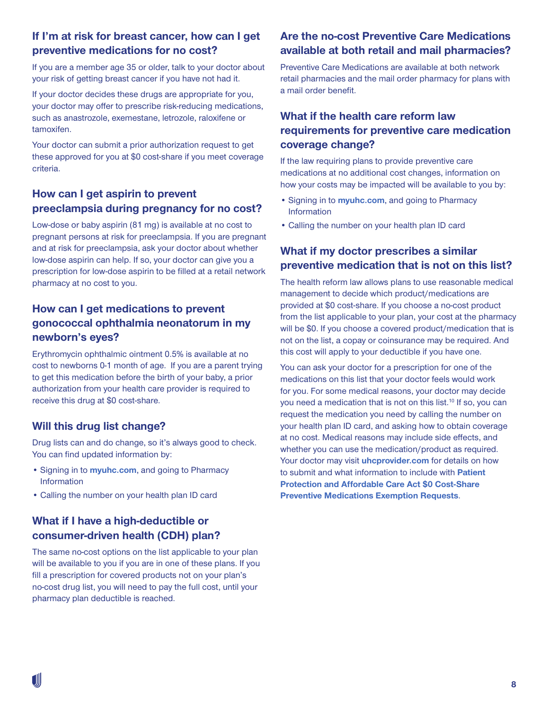#### **If I'm at risk for breast cancer, how can I get preventive medications for no cost?**

If you are a member age 35 or older, talk to your doctor about your risk of getting breast cancer if you have not had it.

If your doctor decides these drugs are appropriate for you, your doctor may offer to prescribe risk-reducing medications, such as anastrozole, exemestane, letrozole, raloxifene or tamoxifen.

Your doctor can submit a prior authorization request to get these approved for you at \$0 cost-share if you meet coverage criteria.

#### **How can I get aspirin to prevent preeclampsia during pregnancy for no cost?**

Low-dose or baby aspirin (81 mg) is available at no cost to pregnant persons at risk for preeclampsia. If you are pregnant and at risk for preeclampsia, ask your doctor about whether low-dose aspirin can help. If so, your doctor can give you a prescription for low-dose aspirin to be filled at a retail network pharmacy at no cost to you.

#### **How can I get medications to prevent gonococcal ophthalmia neonatorum in my newborn's eyes?**

Erythromycin ophthalmic ointment 0.5% is available at no cost to newborns 0-1 month of age. If you are a parent trying to get this medication before the birth of your baby, a prior authorization from your health care provider is required to receive this drug at \$0 cost-share.

#### **Will this drug list change?**

Drug lists can and do change, so it's always good to check. You can find updated information by:

- Signing in to **[myuhc.com](http://myuhc.com)**, and going to Pharmacy Information
- Calling the number on your health plan ID card

#### **What if I have a high-deductible or consumer-driven health (CDH) plan?**

The same no-cost options on the list applicable to your plan will be available to you if you are in one of these plans. If you fill a prescription for covered products not on your plan's no-cost drug list, you will need to pay the full cost, until your pharmacy plan deductible is reached.

#### **Are the no-cost Preventive Care Medications available at both retail and mail pharmacies?**

Preventive Care Medications are available at both network retail pharmacies and the mail order pharmacy for plans with a mail order benefit.

#### **What if the health care reform law requirements for preventive care medication coverage change?**

If the law requiring plans to provide preventive care medications at no additional cost changes, information on how your costs may be impacted will be available to you by:

- Signing in to **[myuhc.com](http://myuhc.com/)**, and going to Pharmacy Information
- Calling the number on your health plan ID card

#### **What if my doctor prescribes a similar preventive medication that is not on this list?**

The health reform law allows plans to use reasonable medical management to decide which product/medications are provided at \$0 cost-share. If you choose a no-cost product from the list applicable to your plan, your cost at the pharmacy will be \$0. If you choose a covered product/medication that is not on the list, a copay or coinsurance may be required. And this cost will apply to your deductible if you have one.

You can ask your doctor for a prescription for one of the medications on this list that your doctor feels would work for you. For some medical reasons, your doctor may decide you need a medication that is not on this list.<sup>10</sup> If so, you can request the medication you need by calling the number on your health plan ID card, and asking how to obtain coverage at no cost. Medical reasons may include side effects, and whether you can use the medication/product as required. Your doctor may visit *[uhcprovider.com](http://uhcprovider.com)* for details on how to submit and what information to include with **[Patient](https://www.uhcprovider.com/content/dam/provider/docs/public/resources/pharmacy/COMM-Patient-PACA-Zero-Cost-Share-Exemption-Request.pdf)  [Protection and Affordable Care Act \\$0 Cost-Share](https://www.uhcprovider.com/content/dam/provider/docs/public/resources/pharmacy/COMM-Patient-PACA-Zero-Cost-Share-Exemption-Request.pdf)  [Preventive Medications Exemption Requests](https://www.uhcprovider.com/content/dam/provider/docs/public/resources/pharmacy/COMM-Patient-PACA-Zero-Cost-Share-Exemption-Request.pdf)**.